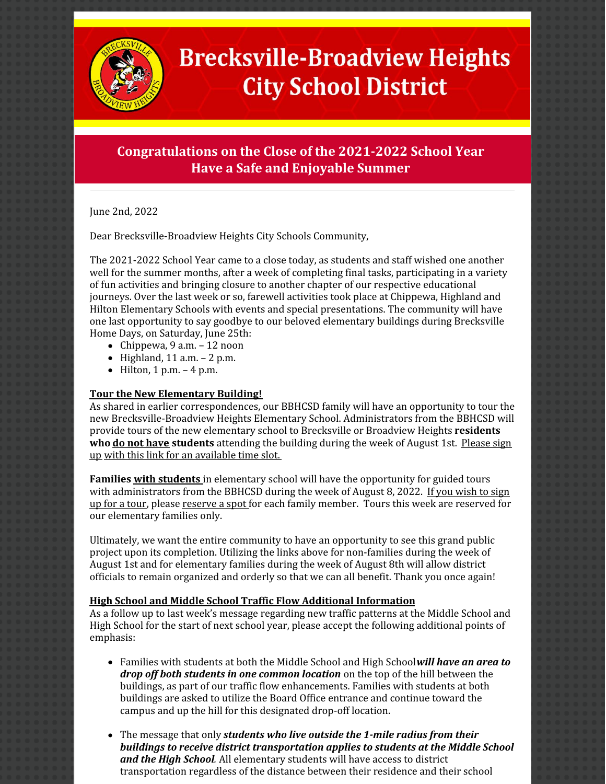

# **Brecksville-Broadview Heights City School District**

## **Congratulations on the Close of the 2021-2022 School Year Have a Safe and Enjoyable Summer**

June 2nd, 2022

Dear Brecksville-Broadview Heights City Schools Community,

The 2021-2022 School Year came to a close today, as students and staff wished one another well for the summer months, after a week of completing final tasks, participating in a variety of fun activities and bringing closure to another chapter of our respective educational journeys. Over the last week or so, farewell activities took place at Chippewa, Highland and Hilton Elementary Schools with events and special presentations. The community will have one last opportunity to say goodbye to our beloved elementary buildings during Brecksville Home Days, on Saturday, June 25th:

- $\bullet$  Chippewa, 9 a.m. 12 noon
- $\bullet$  Highland, 11 a.m.  $-$  2 p.m.
- $\bullet$  Hilton, 1 p.m.  $-4$  p.m.

### **Tour the New Elementary Building!**

As shared in earlier correspondences, our BBHCSD family will have an opportunity to tour the new Brecksville-Broadview Heights Elementary School. Administrators from the BBHCSD will provide tours of the new elementary school to Brecksville or Broadview Heights **residents who do not have students** [attending](https://www.signupgenius.com/go/30e0c44a9ae2ba1fb6-community) the building during the week of August 1st. Please sign up with this link for an [available](https://www.signupgenius.com/go/30e0c44a9ae2ba1fb6-community) time slot.

**Families with students** in elementary school will have the opportunity for guided tours with [administrators](https://www.signupgenius.com/go/30E0C44A9AE2BA1FB6-family) from the BBHCSD during the week of August 8, 2022. If you wish to sign up for a tour, please [reserve](https://www.signupgenius.com/go/30e0c44a9ae2ba1fb6-family) a spot for each family member. Tours this week are reserved for our elementary families only.

Ultimately, we want the entire community to have an opportunity to see this grand public project upon its completion. Utilizing the links above for non-families during the week of August 1st and for elementary families during the week of August 8th will allow district officials to remain organized and orderly so that we can all benefit. Thank you once again!

### **High School and Middle School Traffic Flow Additional Information**

As a follow up to last week's message regarding new traffic patterns at the Middle School and High School for the start of next school year, please accept the following additional points of emphasis:

- Families with students at both the Middle School and High School*will have an area to drop off both students in one common location* on the top of the hill between the buildings, as part of our traffic flow enhancements. Families with students at both buildings are asked to utilize the Board Office entrance and continue toward the campus and up the hill for this designated drop-off location.
- The message that only *students who live outside the 1-mile radius from their buildings to receive district transportation applies to students at the Middle School and the High School.* All elementary students will have access to district transportation regardless of the distance between their residence and their school